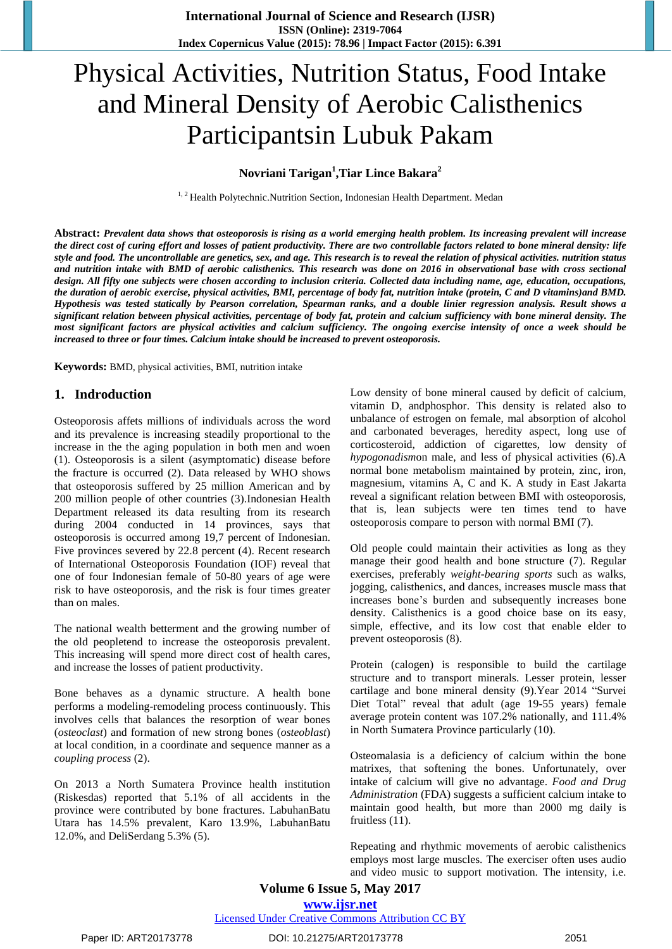# Physical Activities, Nutrition Status, Food Intake and Mineral Density of Aerobic Calisthenics Participantsin Lubuk Pakam

## **Novriani Tarigan<sup>1</sup> ,Tiar Lince Bakara<sup>2</sup>**

<sup>1, 2</sup> Health Polytechnic.Nutrition Section, Indonesian Health Department. Medan

Abstract: Prevalent data shows that osteoporosis is rising as a world emerging health problem. Its increasing prevalent will increase the direct cost of curing effort and losses of patient productivity. There are two controllable factors related to bone mineral density: life style and food. The uncontrollable are genetics, sex, and age. This research is to reveal the relation of physical activities. nutrition status and nutrition intake with BMD of aerobic calisthenics. This research was done on 2016 in observational base with cross sectional design. All fifty one subjects were chosen according to inclusion criteria. Collected data including name, age, education, occupations, the duration of aerobic exercise, physical activities, BMI, percentage of body fat, nutrition intake (protein, C and D vitamins) and BMD. Hypothesis was tested statically by Pearson correlation, Spearman ranks, and a double linier regression analysis. Result shows a significant relation between physical activities, percentage of body fat, protein and calcium sufficiency with bone mineral density. The most significant factors are physical activities and calcium sufficiency. The ongoing exercise intensity of once a week should be *increased to three or four times. Calcium intake should be increased to prevent osteoporosis.*

**Keywords:** BMD, physical activities, BMI, nutrition intake

### **1. Indroduction**

Osteoporosis affets millions of individuals across the word and its prevalence is increasing steadily proportional to the increase in the the aging population in both men and woen (1). Osteoporosis is a silent (asymptomatic) disease before the fracture is occurred (2). Data released by WHO shows that osteoporosis suffered by 25 million American and by 200 million people of other countries (3).Indonesian Health Department released its data resulting from its research during 2004 conducted in 14 provinces, says that osteoporosis is occurred among 19,7 percent of Indonesian. Five provinces severed by 22.8 percent (4). Recent research of International Osteoporosis Foundation (IOF) reveal that one of four Indonesian female of 50-80 years of age were risk to have osteoporosis, and the risk is four times greater than on males.

The national wealth betterment and the growing number of the old peopletend to increase the osteoporosis prevalent. This increasing will spend more direct cost of health cares, and increase the losses of patient productivity.

Bone behaves as a dynamic structure. A health bone performs a modeling-remodeling process continuously. This involves cells that balances the resorption of wear bones (*osteoclast*) and formation of new strong bones (*osteoblast*) at local condition, in a coordinate and sequence manner as a *coupling process* (2).

On 2013 a North Sumatera Province health institution (Riskesdas) reported that 5.1% of all accidents in the province were contributed by bone fractures. LabuhanBatu Utara has 14.5% prevalent, Karo 13.9%, LabuhanBatu 12.0%, and DeliSerdang 5.3% (5).

Low density of bone mineral caused by deficit of calcium, vitamin D, andphosphor. This density is related also to unbalance of estrogen on female, mal absorption of alcohol and carbonated beverages, heredity aspect, long use of corticosteroid, addiction of cigarettes, low density of *hypogonadism*on male, and less of physical activities (6).A normal bone metabolism maintained by protein, zinc, iron, magnesium, vitamins A, C and K. A study in East Jakarta reveal a significant relation between BMI with osteoporosis, that is, lean subjects were ten times tend to have osteoporosis compare to person with normal BMI (7).

Old people could maintain their activities as long as they manage their good health and bone structure (7). Regular exercises, preferably *weight-bearing sports* such as walks, jogging, calisthenics, and dances, increases muscle mass that increases bone's burden and subsequently increases bone density. Calisthenics is a good choice base on its easy, simple, effective, and its low cost that enable elder to prevent osteoporosis (8).

Protein (calogen) is responsible to build the cartilage structure and to transport minerals. Lesser protein, lesser cartilage and bone mineral density (9).Year 2014 "Survei Diet Total" reveal that adult (age 19-55 years) female average protein content was 107.2% nationally, and 111.4% in North Sumatera Province particularly (10).

Osteomalasia is a deficiency of calcium within the bone matrixes, that softening the bones. Unfortunately, over intake of calcium will give no advantage. *Food and Drug Administration* (FDA) suggests a sufficient calcium intake to maintain good health, but more than 2000 mg daily is fruitless (11).

Repeating and rhythmic movements of aerobic calisthenics employs most large muscles. The exerciser often uses audio and video music to support motivation. The intensity, i.e.

# **Volume 6 Issue 5, May 2017 www.ijsr.net**

Licensed Under Creative Commons Attribution CC BY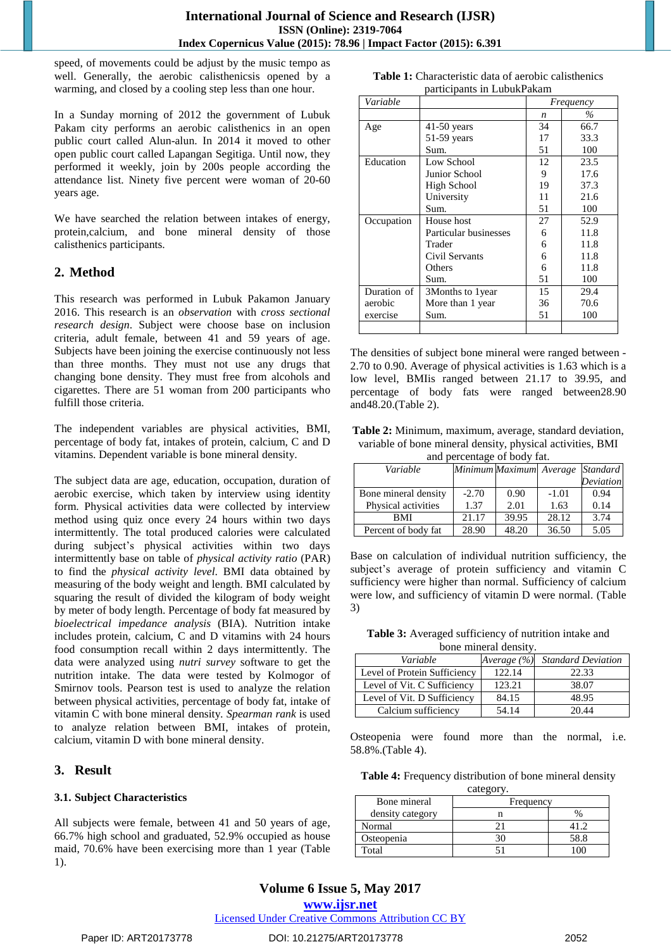speed, of movements could be adjust by the music tempo as well. Generally, the aerobic calisthenicsis opened by a warming, and closed by a cooling step less than one hour.

In a Sunday morning of 2012 the government of Lubuk Pakam city performs an aerobic calisthenics in an open public court called Alun-alun. In 2014 it moved to other open public court called Lapangan Segitiga. Until now, they performed it weekly, join by 200s people according the attendance list. Ninety five percent were woman of 20-60 years age.

We have searched the relation between intakes of energy, protein,calcium, and bone mineral density of those calisthenics participants.

## **2. Method**

This research was performed in Lubuk Pakamon January 2016. This research is an *observation* with *cross sectional research design*. Subject were choose base on inclusion criteria, adult female, between 41 and 59 years of age. Subjects have been joining the exercise continuously not less than three months. They must not use any drugs that changing bone density. They must free from alcohols and cigarettes. There are 51 woman from 200 participants who fulfill those criteria.

The independent variables are physical activities, BMI, percentage of body fat, intakes of protein, calcium, C and D vitamins. Dependent variable is bone mineral density.

The subject data are age, education, occupation, duration of aerobic exercise, which taken by interview using identity form. Physical activities data were collected by interview method using quiz once every 24 hours within two days intermittently. The total produced calories were calculated during subject's physical activities within two days intermittently base on table of *physical activity ratio* (PAR) to find the *physical activity level*. BMI data obtained by measuring of the body weight and length. BMI calculated by squaring the result of divided the kilogram of body weight by meter of body length. Percentage of body fat measured by *bioelectrical impedance analysis* (BIA). Nutrition intake includes protein, calcium, C and D vitamins with 24 hours food consumption recall within 2 days intermittently. The data were analyzed using *nutri survey* software to get the nutrition intake. The data were tested by Kolmogor of Smirnov tools. Pearson test is used to analyze the relation between physical activities, percentage of body fat, intake of vitamin C with bone mineral density*. Spearman rank* is used to analyze relation between BMI, intakes of protein, calcium, vitamin D with bone mineral density.

## **3. Result**

## **3.1. Subject Characteristics**

All subjects were female, between 41 and 50 years of age, 66.7% high school and graduated, 52.9% occupied as house maid, 70.6% have been exercising more than 1 year (Table 1).

| <b>Table 1:</b> Characteristic data of aerobic calisthenics |
|-------------------------------------------------------------|
| participants in LubukPakam                                  |

| Variable    |                       | Frequency |      |
|-------------|-----------------------|-----------|------|
|             |                       | n         | $\%$ |
| Age         | $41-50$ years         | 34        | 66.7 |
|             | $51-59$ years         | 17        | 33.3 |
|             | Sum.                  | 51        | 100  |
| Education   | Low School            | 12        | 23.5 |
|             | Junior School         | 9         | 17.6 |
|             | High School           | 19        | 37.3 |
|             | University            | 11        | 21.6 |
|             | Sum.                  | 51        | 100  |
| Occupation  | House host            | 27        | 52.9 |
|             | Particular businesses | 6         | 11.8 |
|             | Trader                | 6         | 11.8 |
|             | Civil Servants        | 6         | 11.8 |
|             | Others                | 6         | 11.8 |
|             | Sum.                  | 51        | 100  |
| Duration of | 3Months to 1year      | 15        | 29.4 |
| aerobic     | More than 1 year      | 36        | 70.6 |
| exercise    | Sum.                  | 51        | 100  |
|             |                       |           |      |

The densities of subject bone mineral were ranged between - 2.70 to 0.90. Average of physical activities is 1.63 which is a low level, BMIis ranged between 21.17 to 39.95, and percentage of body fats were ranged between28.90 and48.20.(Table 2).

**Table 2:** Minimum, maximum, average, standard deviation, variable of bone mineral density, physical activities, BMI and percentage of body fat.

| $\frac{1}{2}$        |                         |       |         |                 |
|----------------------|-------------------------|-------|---------|-----------------|
| Variable             | Minimum Maximum Average |       |         | <b>Standard</b> |
|                      |                         |       |         | Deviation       |
| Bone mineral density | $-2.70$                 | 0.90  | $-1.01$ | 0.94            |
| Physical activities  | 1.37                    | 2.01  | 1.63    | 0.14            |
| BMI                  | 21.17                   | 39.95 | 28.12   | 3.74            |
| Percent of body fat  | 28.90                   | 48.20 | 36.50   | 5.05            |

Base on calculation of individual nutrition sufficiency, the subject's average of protein sufficiency and vitamin C sufficiency were higher than normal. Sufficiency of calcium were low, and sufficiency of vitamin D were normal. (Table 3)

**Table 3:** Averaged sufficiency of nutrition intake and bone mineral density.

| Variable                     | Average (%) | <b>Standard Deviation</b> |
|------------------------------|-------------|---------------------------|
| Level of Protein Sufficiency | 122.14      | 22.33                     |
| Level of Vit. C Sufficiency  | 123.21      | 38.07                     |
| Level of Vit. D Sufficiency  | 84.15       | 48.95                     |
| Calcium sufficiency          | 54.14       | 20.44                     |

Osteopenia were found more than the normal, i.e. 58.8%.(Table 4).

**Table 4:** Frequency distribution of bone mineral density category.

| Bone mineral     | Frequency |      |
|------------------|-----------|------|
| density category |           |      |
| Normal           |           |      |
| Osteopenia       |           | 58.8 |
| Total            |           |      |

# **Volume 6 Issue 5, May 2017 www.ijsr.net**

Licensed Under Creative Commons Attribution CC BY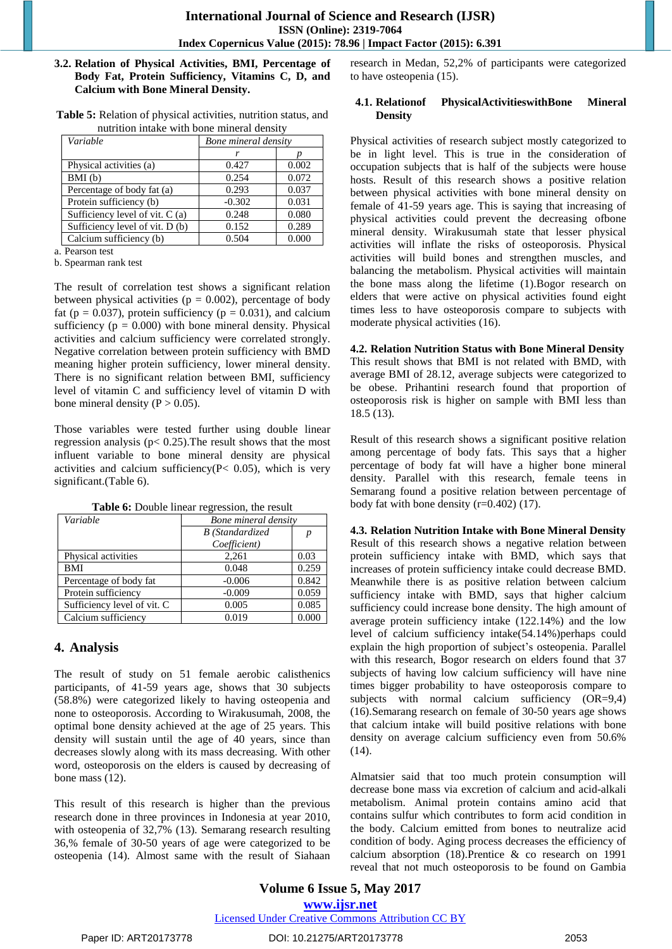#### **3.2. Relation of Physical Activities, BMI, Percentage of Body Fat, Protein Sufficiency, Vitamins C, D, and Calcium with Bone Mineral Density.**

|  | Table 5: Relation of physical activities, nutrition status, and |  |  |
|--|-----------------------------------------------------------------|--|--|
|  | nutrition intake with bone mineral density                      |  |  |

| Variable                        | Bone mineral density |       |  |
|---------------------------------|----------------------|-------|--|
|                                 |                      |       |  |
| Physical activities (a)         | 0.427                | 0.002 |  |
| BMI(b)                          | 0.254                | 0.072 |  |
| Percentage of body fat (a)      | 0.293                | 0.037 |  |
| Protein sufficiency (b)         | $-0.302$             | 0.031 |  |
| Sufficiency level of vit. C (a) | 0.248                | 0.080 |  |
| Sufficiency level of vit. D (b) | 0.152                | 0.289 |  |
| Calcium sufficiency (b)         | 0.504                | 0.000 |  |

a. Pearson test

b. Spearman rank test

The result of correlation test shows a significant relation between physical activities ( $p = 0.002$ ), percentage of body fat ( $p = 0.037$ ), protein sufficiency ( $p = 0.031$ ), and calcium sufficiency  $(p = 0.000)$  with bone mineral density. Physical activities and calcium sufficiency were correlated strongly. Negative correlation between protein sufficiency with BMD meaning higher protein sufficiency, lower mineral density. There is no significant relation between BMI, sufficiency level of vitamin C and sufficiency level of vitamin D with bone mineral density ( $P > 0.05$ ).

Those variables were tested further using double linear regression analysis ( $p < 0.25$ ). The result shows that the most influent variable to bone mineral density are physical activities and calcium sufficiency( $P < 0.05$ ), which is very significant.(Table 6).

| Variable                    | Bone mineral density   |       |  |
|-----------------------------|------------------------|-------|--|
|                             | <b>B</b> (Standardized | p     |  |
|                             | Coefficient)           |       |  |
| Physical activities         | 2,261                  | 0.03  |  |
| BMI                         | 0.048                  | 0.259 |  |
| Percentage of body fat      | $-0.006$               | 0.842 |  |
| Protein sufficiency         | $-0.009$               | 0.059 |  |
| Sufficiency level of vit. C | 0.005                  | 0.085 |  |
| Calcium sufficiency         | 0.019                  | 0.000 |  |

**Table 6:** Double linear regression, the result

## **4. Analysis**

The result of study on 51 female aerobic calisthenics participants, of 41-59 years age, shows that 30 subjects (58.8%) were categorized likely to having osteopenia and none to osteoporosis. According to Wirakusumah, 2008, the optimal bone density achieved at the age of 25 years. This density will sustain until the age of 40 years, since than decreases slowly along with its mass decreasing. With other word, osteoporosis on the elders is caused by decreasing of bone mass (12).

This result of this research is higher than the previous research done in three provinces in Indonesia at year 2010, with osteopenia of 32,7% (13). Semarang research resulting 36,% female of 30-50 years of age were categorized to be osteopenia (14). Almost same with the result of Siahaan research in Medan, 52,2% of participants were categorized to have osteopenia (15).

#### **4.1. Relationof PhysicalActivitieswithBone Mineral Density**

Physical activities of research subject mostly categorized to be in light level. This is true in the consideration of occupation subjects that is half of the subjects were house hosts. Result of this research shows a positive relation between physical activities with bone mineral density on female of 41-59 years age. This is saying that increasing of physical activities could prevent the decreasing ofbone mineral density. Wirakusumah state that lesser physical activities will inflate the risks of osteoporosis. Physical activities will build bones and strengthen muscles, and balancing the metabolism. Physical activities will maintain the bone mass along the lifetime (1).Bogor research on elders that were active on physical activities found eight times less to have osteoporosis compare to subjects with moderate physical activities (16).

## **4.2. Relation Nutrition Status with Bone Mineral Density**

This result shows that BMI is not related with BMD, with average BMI of 28.12, average subjects were categorized to be obese. Prihantini research found that proportion of osteoporosis risk is higher on sample with BMI less than 18.5 (13).

Result of this research shows a significant positive relation among percentage of body fats. This says that a higher percentage of body fat will have a higher bone mineral density. Parallel with this research, female teens in Semarang found a positive relation between percentage of body fat with bone density (r=0.402) (17).

**4.3. Relation Nutrition Intake with Bone Mineral Density** Result of this research shows a negative relation between protein sufficiency intake with BMD, which says that increases of protein sufficiency intake could decrease BMD. Meanwhile there is as positive relation between calcium sufficiency intake with BMD, says that higher calcium sufficiency could increase bone density. The high amount of average protein sufficiency intake (122.14%) and the low level of calcium sufficiency intake(54.14%)perhaps could explain the high proportion of subject's osteopenia. Parallel with this research, Bogor research on elders found that 37 subjects of having low calcium sufficiency will have nine times bigger probability to have osteoporosis compare to subjects with normal calcium sufficiency (OR=9,4) (16).Semarang research on female of 30-50 years age shows that calcium intake will build positive relations with bone density on average calcium sufficiency even from 50.6% (14).

Almatsier said that too much protein consumption will decrease bone mass via excretion of calcium and acid-alkali metabolism. Animal protein contains amino acid that contains sulfur which contributes to form acid condition in the body. Calcium emitted from bones to neutralize acid condition of body. Aging process decreases the efficiency of calcium absorption (18).Prentice & co research on 1991 reveal that not much osteoporosis to be found on Gambia